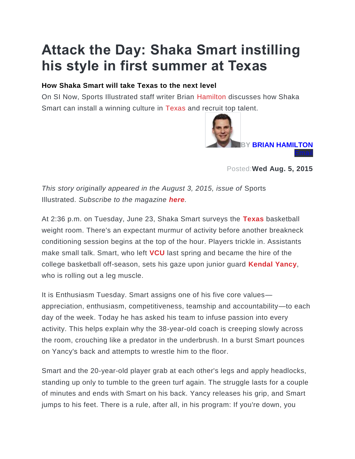## **Attack the Day: Shaka Smart instilling his style in first summer at Texas**

## **How Shaka Smart will take Texas to the next level**

On SI Now, Sports Illustrated staff writer Brian [Hamilton](http://www.si.com/college-basketball/team/hamilton-continentals) discusses how Shaka Smart can install a winning culture in [Texas](http://www.si.com/college-basketball/team/texas-longhorns) and recruit top talent.



Posted:**Wed Aug. 5, 2015**

*This story originally appeared in the August 3, 2015, issue of* Sports Illustrated. *Subscribe to the magazine [here](https://subscription.si.com/storefront/subscribe-to-sports-illustrated/site/si-timenfl56for39.html?xid=SIEControl&link=1002344&fpa_oc=SI.com+Time+Form+Test+07%2F15).*

At 2:36 p.m. on Tuesday, June 23, Shaka Smart surveys the **[Texas](http://www.si.com/college-basketball/team/texas-longhorns)** basketball weight room. There's an expectant murmur of activity before another breakneck conditioning session begins at the top of the hour. Players trickle in. Assistants make small talk. Smart, who left **[VCU](http://www.si.com/college-basketball/team/vcu-rams)** last spring and became the hire of the college basketball off-season, sets his gaze upon junior guard **[Kendal Yancy](http://www.si.com/college-basketball/player/kendal-yancy)**, who is rolling out a leg muscle.

It is Enthusiasm Tuesday. Smart assigns one of his five core values appreciation, enthusiasm, competitiveness, teamship and accountability—to each day of the week. Today he has asked his team to infuse passion into every activity. This helps explain why the 38-year-old coach is creeping slowly across the room, crouching like a predator in the underbrush. In a burst Smart pounces on Yancy's back and attempts to wrestle him to the floor.

Smart and the 20-year-old player grab at each other's legs and apply headlocks, standing up only to tumble to the green turf again. The struggle lasts for a couple of minutes and ends with Smart on his back. Yancy releases his grip, and Smart jumps to his feet. There is a rule, after all, in his program: If you're down, you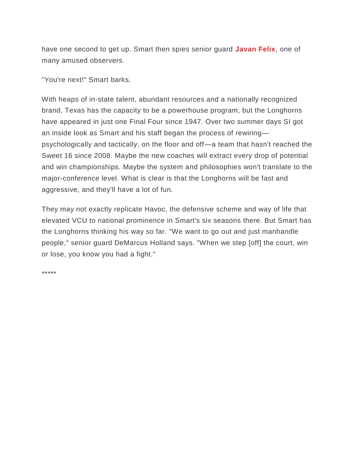have one second to get up. Smart then spies senior guard **[Javan Felix](http://www.si.com/college-basketball/player/javan-felix)**, one of many amused observers.

"You're next!" Smart barks.

With heaps of in-state talent, abundant resources and a nationally recognized brand, Texas has the capacity to be a powerhouse program, but the Longhorns have appeared in just one Final Four since 1947. Over two summer days SI got an inside look as Smart and his staff began the process of rewiring psychologically and tactically, on the floor and off—a team that hasn't reached the Sweet 16 since 2008. Maybe the new coaches will extract every drop of potential and win championships. Maybe the system and philosophies won't translate to the major-conference level. What is clear is that the Longhorns will be fast and aggressive, and they'll have a lot of fun.

They may not exactly replicate Havoc, the defensive scheme and way of life that elevated VCU to national prominence in Smart's six seasons there. But Smart has the Longhorns thinking his way so far. "We want to go out and just manhandle people," senior guard DeMarcus Holland says. "When we step [off] the court, win or lose, you know you had a fight."

\*\*\*\*\*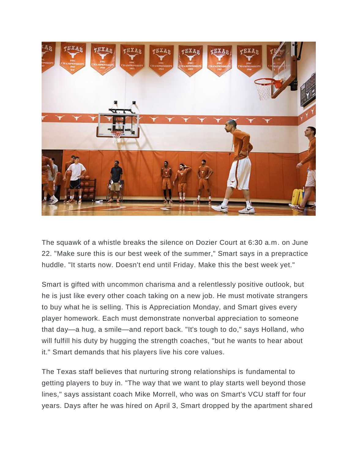

The squawk of a whistle breaks the silence on Dozier Court at 6:30 a.m. on June 22. "Make sure this is our best week of the summer," Smart says in a prepractice huddle. "It starts now. Doesn't end until Friday. Make this the best week yet."

Smart is gifted with uncommon charisma and a relentlessly positive outlook, but he is just like every other coach taking on a new job. He must motivate strangers to buy what he is selling. This is Appreciation Monday, and Smart gives every player homework. Each must demonstrate nonverbal appreciation to someone that day—a hug, a smile—and report back. "It's tough to do," says Holland, who will fulfill his duty by hugging the strength coaches, "but he wants to hear about it." Smart demands that his players live his core values.

The Texas staff believes that nurturing strong relationships is fundamental to getting players to buy in. "The way that we want to play starts well beyond those lines," says assistant coach Mike Morrell, who was on Smart's VCU staff for four years. Days after he was hired on April 3, Smart dropped by the apartment shared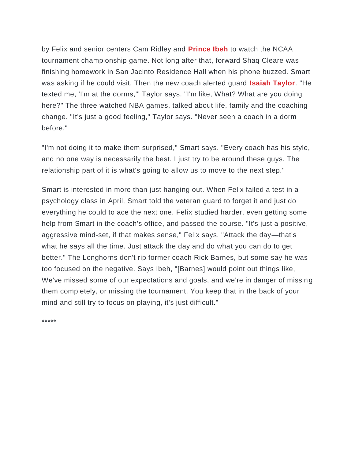by Felix and senior centers Cam Ridley and **[Prince Ibeh](http://www.si.com/college-basketball/player/prince-ibeh)** to watch the NCAA tournament championship game. Not long after that, forward Shaq Cleare was finishing homework in San Jacinto Residence Hall when his phone buzzed. Smart was asking if he could visit. Then the new coach alerted guard **[Isaiah Taylor](http://www.si.com/college-basketball/player/isaiah-taylor)**. "He texted me, 'I'm at the dorms,'" Taylor says. "I'm like, What? What are you doing here?" The three watched NBA games, talked about life, family and the coaching change. "It's just a good feeling," Taylor says. "Never seen a coach in a dorm before."

"I'm not doing it to make them surprised," Smart says. "Every coach has his style, and no one way is necessarily the best. I just try to be around these guys. The relationship part of it is what's going to allow us to move to the next step."

Smart is interested in more than just hanging out. When Felix failed a test in a psychology class in April, Smart told the veteran guard to forget it and just do everything he could to ace the next one. Felix studied harder, even getting some help from Smart in the coach's office, and passed the course. "It's just a positive, aggressive mind-set, if that makes sense," Felix says. "Attack the day—that's what he says all the time. Just attack the day and do what you can do to get better." The Longhorns don't rip former coach Rick Barnes, but some say he was too focused on the negative. Says Ibeh, "[Barnes] would point out things like, We've missed some of our expectations and goals, and we're in danger of missing them completely, or missing the tournament. You keep that in the back of your mind and still try to focus on playing, it's just difficult."

\*\*\*\*\*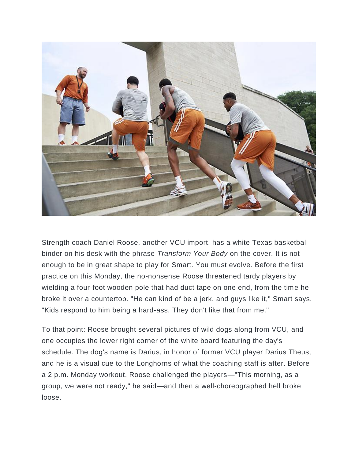

Strength coach Daniel Roose, another VCU import, has a white Texas basketball binder on his desk with the phrase *Transform Your Body* on the cover. It is not enough to be in great shape to play for Smart. You must evolve. Before the first practice on this Monday, the no-nonsense Roose threatened tardy players by wielding a four-foot wooden pole that had duct tape on one end, from the time he broke it over a countertop. "He can kind of be a jerk, and guys like it," Smart says. "Kids respond to him being a hard-ass. They don't like that from me."

To that point: Roose brought several pictures of wild dogs along from VCU, and one occupies the lower right corner of the white board featuring the day's schedule. The dog's name is Darius, in honor of former VCU player Darius Theus, and he is a visual cue to the Longhorns of what the coaching staff is after. Before a 2 p.m. Monday workout, Roose challenged the players—"This morning, as a group, we were not ready," he said—and then a well-choreographed hell broke loose.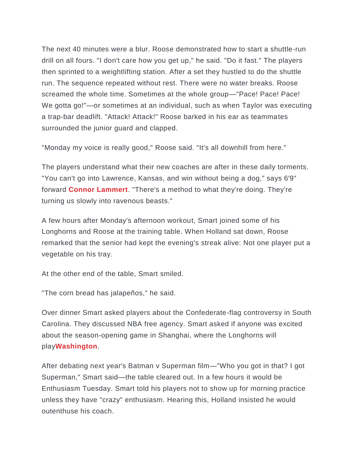The next 40 minutes were a blur. Roose demonstrated how to start a shuttle-run drill on all fours. "I don't care how you get up," he said. "Do it fast." The players then sprinted to a weightlifting station. After a set they hustled to do the shuttle run. The sequence repeated without rest. There were no water breaks. Roose screamed the whole time. Sometimes at the whole group—"Pace! Pace! Pace! We gotta go!"—or sometimes at an individual, such as when Taylor was executing a trap-bar deadlift. "Attack! Attack!" Roose barked in his ear as teammates surrounded the junior guard and clapped.

"Monday my voice is really good," Roose said. "It's all downhill from here."

The players understand what their new coaches are after in these daily torments. "You can't go into Lawrence, Kansas, and win without being a dog," says 6'9" forward **[Connor Lammert](http://www.si.com/college-basketball/player/connor-lammert)**. "There's a method to what they're doing. They're turning us slowly into ravenous beasts."

A few hours after Monday's afternoon workout, Smart joined some of his Longhorns and Roose at the training table. When Holland sat down, Roose remarked that the senior had kept the evening's streak alive: Not one player put a vegetable on his tray.

At the other end of the table, Smart smiled.

"The corn bread has jalapeños," he said.

Over dinner Smart asked players about the Confederate-flag controversy in South Carolina. They discussed NBA free agency. Smart asked if anyone was excited about the season-opening game in Shanghai, where the Longhorns will play**[Washington](http://www.si.com/college-basketball/team/washington-huskies)**.

After debating next year's Batman v Superman film—"Who you got in that? I got Superman," Smart said—the table cleared out. In a few hours it would be Enthusiasm Tuesday. Smart told his players not to show up for morning practice unless they have "crazy" enthusiasm. Hearing this, Holland insisted he would outenthuse his coach.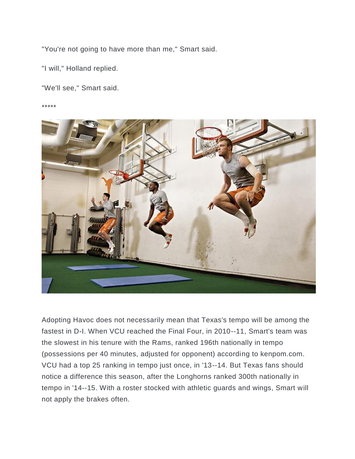"You're not going to have more than me," Smart said.

"I will," Holland replied.

"We'll see," Smart said.

\*\*\*\*\*



Adopting Havoc does not necessarily mean that Texas's tempo will be among the fastest in D-I. When VCU reached the Final Four, in 2010--11, Smart's team was the slowest in his tenure with the Rams, ranked 196th nationally in tempo (possessions per 40 minutes, adjusted for opponent) according to kenpom.com. VCU had a top 25 ranking in tempo just once, in '13--14. But Texas fans should notice a difference this season, after the Longhorns ranked 300th nationally in tempo in '14--15. With a roster stocked with athletic guards and wings, Smart will not apply the brakes often.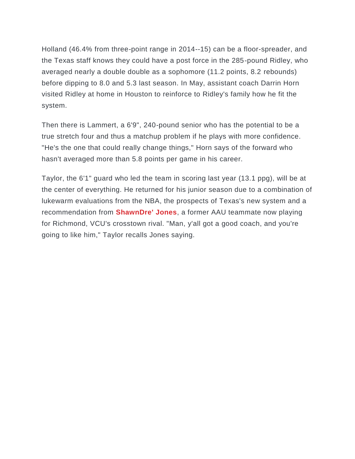Holland (46.4% from three-point range in 2014--15) can be a floor-spreader, and the Texas staff knows they could have a post force in the 285-pound Ridley, who averaged nearly a double double as a sophomore (11.2 points, 8.2 rebounds) before dipping to 8.0 and 5.3 last season. In May, assistant coach Darrin Horn visited Ridley at home in Houston to reinforce to Ridley's family how he fit the system.

Then there is Lammert, a 6'9", 240-pound senior who has the potential to be a true stretch four and thus a matchup problem if he plays with more confidence. "He's the one that could really change things," Horn says of the forward who hasn't averaged more than 5.8 points per game in his career.

Taylor, the 6'1" guard who led the team in scoring last year (13.1 ppg), will be at the center of everything. He returned for his junior season due to a combination of lukewarm evaluations from the NBA, the prospects of Texas's new system and a recommendation from **[ShawnDre' Jones](http://www.si.com/college-basketball/player/shawndre-jones)**, a former AAU teammate now playing for Richmond, VCU's crosstown rival. "Man, y'all got a good coach, and you're going to like him," Taylor recalls Jones saying.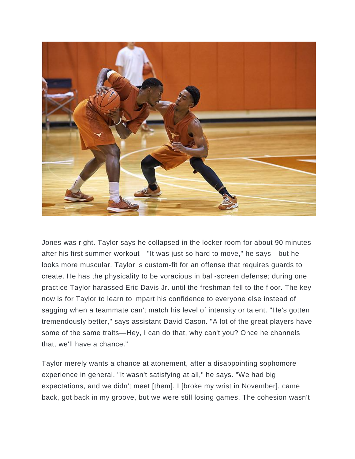

Jones was right. Taylor says he collapsed in the locker room for about 90 minutes after his first summer workout—"It was just so hard to move," he says—but he looks more muscular. Taylor is custom-fit for an offense that requires guards to create. He has the physicality to be voracious in ball-screen defense; during one practice Taylor harassed Eric Davis Jr. until the freshman fell to the floor. The key now is for Taylor to learn to impart his confidence to everyone else instead of sagging when a teammate can't match his level of intensity or talent. "He's gotten tremendously better," says assistant David Cason. "A lot of the great players have some of the same traits—Hey, I can do that, why can't you? Once he channels that, we'll have a chance."

Taylor merely wants a chance at atonement, after a disappointing sophomore experience in general. "It wasn't satisfying at all," he says. "We had big expectations, and we didn't meet [them]. I [broke my wrist in November], came back, got back in my groove, but we were still losing games. The cohesion wasn't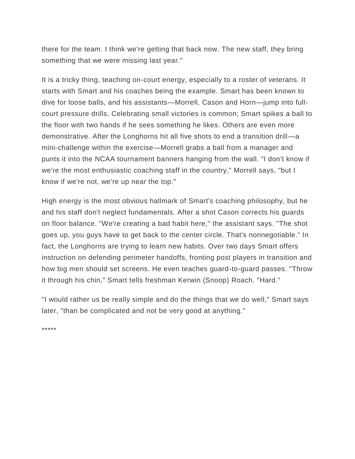there for the team. I think we're getting that back now. The new staff, they bring something that we were missing last year."

It is a tricky thing, teaching on-court energy, especially to a roster of veterans. It starts with Smart and his coaches being the example. Smart has been known to dive for loose balls, and his assistants—Morrell, Cason and Horn—jump into fullcourt pressure drills. Celebrating small victories is common; Smart spikes a ball to the floor with two hands if he sees something he likes. Others are even more demonstrative. After the Longhorns hit all five shots to end a transition drill—a mini-challenge within the exercise—Morrell grabs a ball from a manager and punts it into the NCAA tournament banners hanging from the wall. "I don't know if we're the most enthusiastic coaching staff in the country," Morrell says, "but I know if we're not, we're up near the top."

High energy is the most obvious hallmark of Smart's coaching philosophy, but he and his staff don't neglect fundamentals. After a shot Cason corrects his guards on floor balance. "We're creating a bad habit here," the assistant says. "The shot goes up, you guys have to get back to the center circle. That's nonnegotiable." In fact, the Longhorns are trying to learn new habits. Over two days Smart offers instruction on defending perimeter handoffs, fronting post players in transition and how big men should set screens. He even teaches guard-to-guard passes. "Throw it through his chin," Smart tells freshman Kerwin (Snoop) Roach. "Hard."

"I would rather us be really simple and do the things that we do well," Smart says later, "than be complicated and not be very good at anything."

\*\*\*\*\*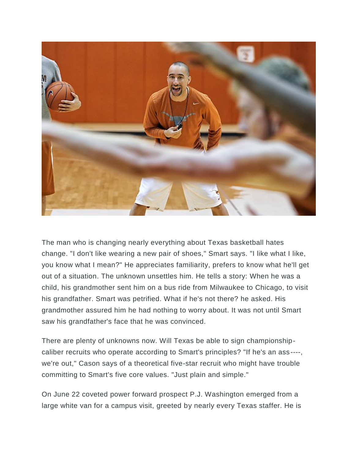

The man who is changing nearly everything about Texas basketball hates change. "I don't like wearing a new pair of shoes," Smart says. "I like what I like, you know what I mean?" He appreciates familiarity, prefers to know what he'll get out of a situation. The unknown unsettles him. He tells a story: When he was a child, his grandmother sent him on a bus ride from Milwaukee to Chicago, to visit his grandfather. Smart was petrified. What if he's not there? he asked. His grandmother assured him he had nothing to worry about. It was not until Smart saw his grandfather's face that he was convinced.

There are plenty of unknowns now. Will Texas be able to sign championshipcaliber recruits who operate according to Smart's principles? "If he's an ass----, we're out," Cason says of a theoretical five-star recruit who might have trouble committing to Smart's five core values. "Just plain and simple."

On June 22 coveted power forward prospect P.J. Washington emerged from a large white van for a campus visit, greeted by nearly every Texas staffer. He is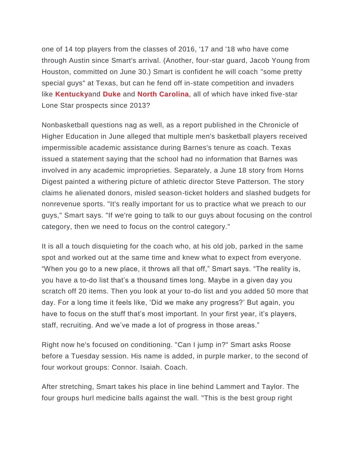one of 14 top players from the classes of 2016, '17 and '18 who have come through Austin since Smart's arrival. (Another, four-star guard, Jacob Young from Houston, committed on June 30.) Smart is confident he will coach "some pretty special guys" at Texas, but can he fend off in-state competition and invaders like **[Kentucky](http://www.si.com/college-basketball/team/kentucky-wildcats)**and **[Duke](http://www.si.com/college-basketball/team/duke-blue-devils)** and **[North Carolina](http://www.si.com/college-basketball/team/north-carolina-tar-heels)**, all of which have inked five-star Lone Star prospects since 2013?

Nonbasketball questions nag as well, as a report published in the Chronicle of Higher Education in June alleged that multiple men's basketball players received impermissible academic assistance during Barnes's tenure as coach. Texas issued a statement saying that the school had no information that Barnes was involved in any academic improprieties. Separately, a June 18 story from Horns Digest painted a withering picture of athletic director Steve Patterson. The story claims he alienated donors, misled season-ticket holders and slashed budgets for nonrevenue sports. "It's really important for us to practice what we preach to our guys," Smart says. "If we're going to talk to our guys about focusing on the control category, then we need to focus on the control category."

It is all a touch disquieting for the coach who, at his old job, parked in the same spot and worked out at the same time and knew what to expect from everyone. "When you go to a new place, it throws all that off," Smart says. "The reality is, you have a to-do list that's a thousand times long. Maybe in a given day you scratch off 20 items. Then you look at your to-do list and you added 50 more that day. For a long time it feels like, 'Did we make any progress?' But again, you have to focus on the stuff that's most important. In your first year, it's players, staff, recruiting. And we've made a lot of progress in those areas."

Right now he's focused on conditioning. "Can I jump in?" Smart asks Roose before a Tuesday session. His name is added, in purple marker, to the second of four workout groups: Connor. Isaiah. Coach.

After stretching, Smart takes his place in line behind Lammert and Taylor. The four groups hurl medicine balls against the wall. "This is the best group right